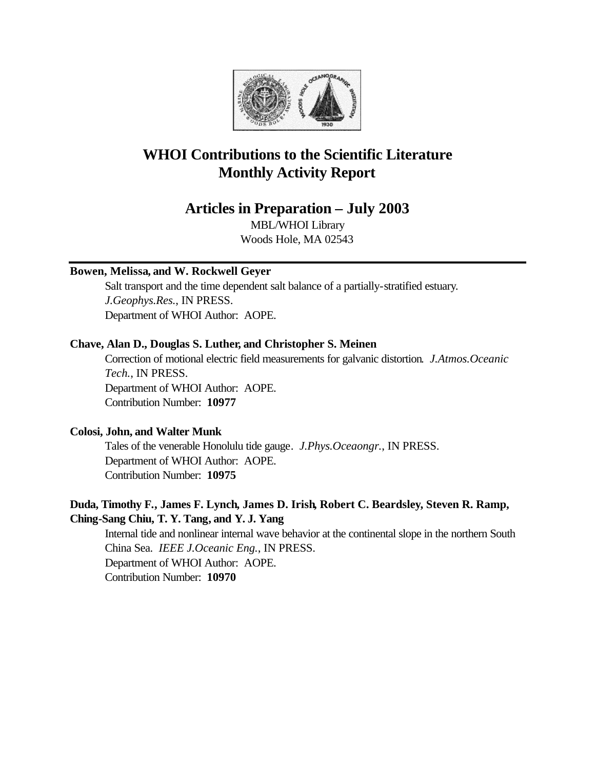

# **WHOI Contributions to the Scientific Literature Monthly Activity Report**

## **Articles in Preparation – July 2003**

MBL/WHOI Library Woods Hole, MA 02543

## **Bowen, Melissa, and W. Rockwell Geyer**

Salt transport and the time dependent salt balance of a partially-stratified estuary. *J.Geophys.Res.*, IN PRESS. Department of WHOI Author: AOPE.

#### **Chave, Alan D., Douglas S. Luther, and Christopher S. Meinen**

Correction of motional electric field measurements for galvanic distortion. *J.Atmos.Oceanic Tech.*, IN PRESS. Department of WHOI Author: AOPE. Contribution Number: **10977**

### **Colosi, John, and Walter Munk**

Tales of the venerable Honolulu tide gauge. *J.Phys.Oceaongr.*, IN PRESS. Department of WHOI Author: AOPE. Contribution Number: **10975**

## **Duda, Timothy F., James F. Lynch, James D. Irish, Robert C. Beardsley, Steven R. Ramp, Ching-Sang Chiu, T. Y. Tang, and Y. J. Yang**

Internal tide and nonlinear internal wave behavior at the continental slope in the northern South China Sea. *IEEE J.Oceanic Eng.*, IN PRESS. Department of WHOI Author: AOPE. Contribution Number: **10970**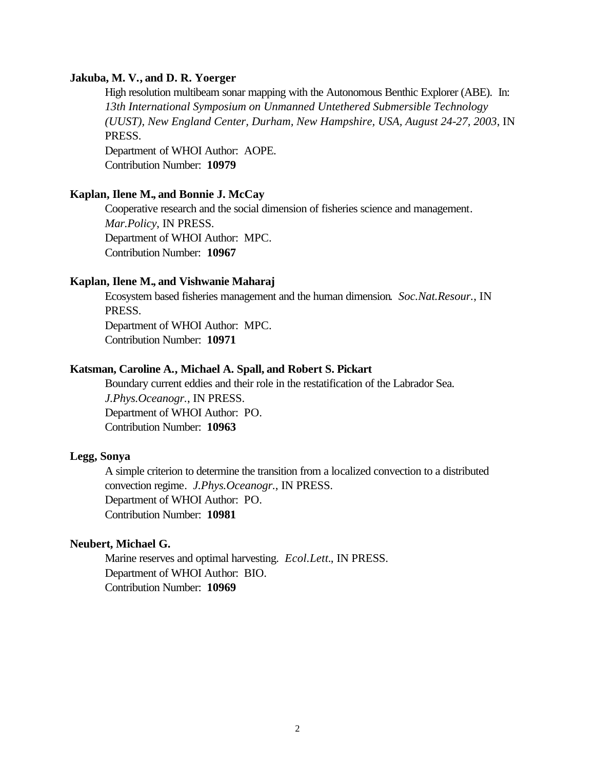#### **Jakuba, M. V., and D. R. Yoerger**

High resolution multibeam sonar mapping with the Autonomous Benthic Explorer (ABE). In: *13th International Symposium on Unmanned Untethered Submersible Technology (UUST), New England Center, Durham, New Hampshire, USA, August 24-27, 2003*, IN PRESS. Department of WHOI Author: AOPE. Contribution Number: **10979**

#### **Kaplan, Ilene M., and Bonnie J. McCay**

Cooperative research and the social dimension of fisheries science and management. *Mar.Policy*, IN PRESS. Department of WHOI Author: MPC. Contribution Number: **10967**

#### **Kaplan, Ilene M., and Vishwanie Maharaj**

Ecosystem based fisheries management and the human dimension. *Soc.Nat.Resour.*, IN PRESS.

Department of WHOI Author: MPC. Contribution Number: **10971**

### **Katsman, Caroline A., Michael A. Spall, and Robert S. Pickart**

Boundary current eddies and their role in the restatification of the Labrador Sea. *J.Phys.Oceanogr.*, IN PRESS. Department of WHOI Author: PO. Contribution Number: **10963**

#### **Legg, Sonya**

A simple criterion to determine the transition from a localized convection to a distributed convection regime. *J.Phys.Oceanogr.*, IN PRESS. Department of WHOI Author: PO. Contribution Number: **10981**

#### **Neubert, Michael G.**

Marine reserves and optimal harvesting. *Ecol.Lett.*, IN PRESS. Department of WHOI Author: BIO. Contribution Number: **10969**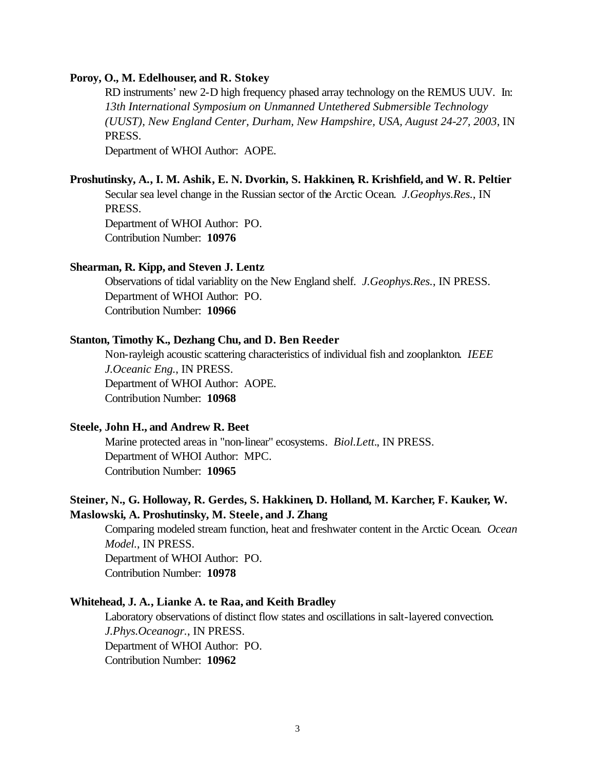#### **Poroy, O., M. Edelhouser, and R. Stokey**

RD instruments' new 2-D high frequency phased array technology on the REMUS UUV. In: *13th International Symposium on Unmanned Untethered Submersible Technology (UUST), New England Center, Durham, New Hampshire, USA, August 24-27, 2003*, IN PRESS. Department of WHOI Author: AOPE.

#### **Proshutinsky, A., I. M. Ashik, E. N. Dvorkin, S. Hakkinen, R. Krishfield, and W. R. Peltier**

Secular sea level change in the Russian sector of the Arctic Ocean. *J.Geophys.Res.*, IN PRESS.

Department of WHOI Author: PO. Contribution Number: **10976**

#### **Shearman, R. Kipp, and Steven J. Lentz**

Observations of tidal variablity on the New England shelf. *J.Geophys.Res.*, IN PRESS. Department of WHOI Author: PO. Contribution Number: **10966**

#### **Stanton, Timothy K., Dezhang Chu, and D. Ben Reeder**

Non-rayleigh acoustic scattering characteristics of individual fish and zooplankton. *IEEE J.Oceanic Eng.*, IN PRESS. Department of WHOI Author: AOPE. Contribution Number: **10968**

#### **Steele, John H., and Andrew R. Beet**

Marine protected areas in "non-linear" ecosystems. *Biol.Lett.*, IN PRESS. Department of WHOI Author: MPC. Contribution Number: **10965**

## **Steiner, N., G. Holloway, R. Gerdes, S. Hakkinen, D. Holland, M. Karcher, F. Kauker, W. Maslowski, A. Proshutinsky, M. Steele, and J. Zhang**

Comparing modeled stream function, heat and freshwater content in the Arctic Ocean. *Ocean Model.*, IN PRESS. Department of WHOI Author: PO. Contribution Number: **10978**

#### **Whitehead, J. A., Lianke A. te Raa, and Keith Bradley**

Laboratory observations of distinct flow states and oscillations in salt-layered convection. *J.Phys.Oceanogr.*, IN PRESS. Department of WHOI Author: PO. Contribution Number: **10962**